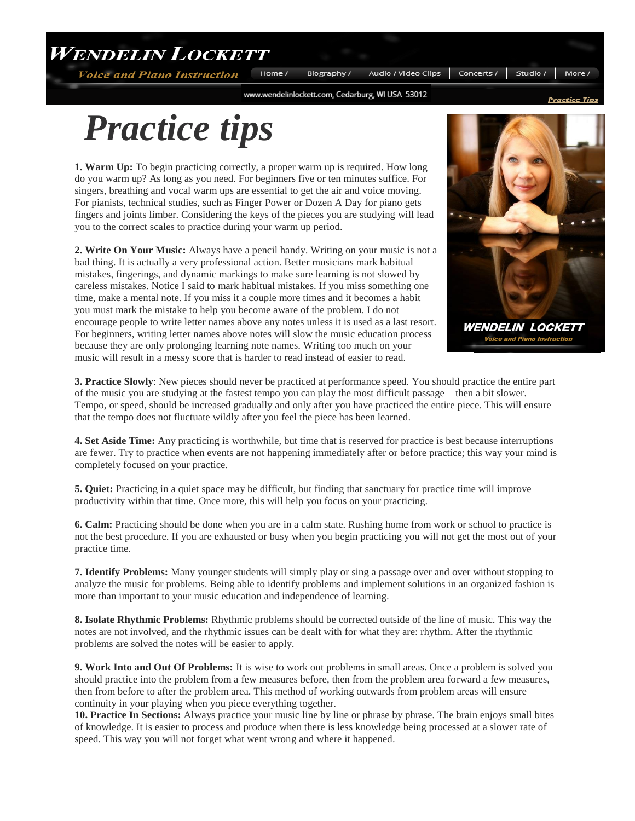**WENDELIN LOCKETT** 

**Voice and Piano Instruction** 

Home / Biography / Audio / Video Clips Concerts /

www.wendelinlockett.com, Cedarburg, WI USA 53012

## *Practice tips*

**1. Warm Up:** To begin practicing correctly, a proper warm up is required. How long do you warm up? As long as you need. For beginners five or ten minutes suffice. For singers, breathing and vocal warm ups are essential to get the air and voice moving. For pianists, technical studies, such as Finger Power or Dozen A Day for piano gets fingers and joints limber. Considering the keys of the pieces you are studying will lead you to the correct scales to practice during your warm up period.

**2. Write On Your Music:** Always have a pencil handy. Writing on your music is not a bad thing. It is actually a very professional action. Better musicians mark habitual mistakes, fingerings, and dynamic markings to make sure learning is not slowed by careless mistakes. Notice I said to mark habitual mistakes. If you miss something one time, make a mental note. If you miss it a couple more times and it becomes a habit you must mark the mistake to help you become aware of the problem. I do not encourage people to write letter names above any notes unless it is used as a last resort. For beginners, writing letter names above notes will slow the music education process because they are only prolonging learning note names. Writing too much on your music will result in a messy score that is harder to read instead of easier to read.



Studio /

**Voice and Piano Instruction** 

**3. Practice Slowly**: New pieces should never be practiced at performance speed. You should practice the entire part of the music you are studying at the fastest tempo you can play the most difficult passage – then a bit slower. Tempo, or speed, should be increased gradually and only after you have practiced the entire piece. This will ensure that the tempo does not fluctuate wildly after you feel the piece has been learned.

**4. Set Aside Time:** Any practicing is worthwhile, but time that is reserved for practice is best because interruptions are fewer. Try to practice when events are not happening immediately after or before practice; this way your mind is completely focused on your practice.

**5. Quiet:** Practicing in a quiet space may be difficult, but finding that sanctuary for practice time will improve productivity within that time. Once more, this will help you focus on your practicing.

**6. Calm:** Practicing should be done when you are in a calm state. Rushing home from work or school to practice is not the best procedure. If you are exhausted or busy when you begin practicing you will not get the most out of your practice time.

**7. Identify Problems:** Many younger students will simply play or sing a passage over and over without stopping to analyze the music for problems. Being able to identify problems and implement solutions in an organized fashion is more than important to your music education and independence of learning.

**8. Isolate Rhythmic Problems:** Rhythmic problems should be corrected outside of the line of music. This way the notes are not involved, and the rhythmic issues can be dealt with for what they are: rhythm. After the rhythmic problems are solved the notes will be easier to apply.

**9. Work Into and Out Of Problems:** It is wise to work out problems in small areas. Once a problem is solved you should practice into the problem from a few measures before, then from the problem area forward a few measures, then from before to after the problem area. This method of working outwards from problem areas will ensure continuity in your playing when you piece everything together.

**10. Practice In Sections:** Always practice your music line by line or phrase by phrase. The brain enjoys small bites of knowledge. It is easier to process and produce when there is less knowledge being processed at a slower rate of speed. This way you will not forget what went wrong and where it happened.

<u> Practice Tips</u>

More /